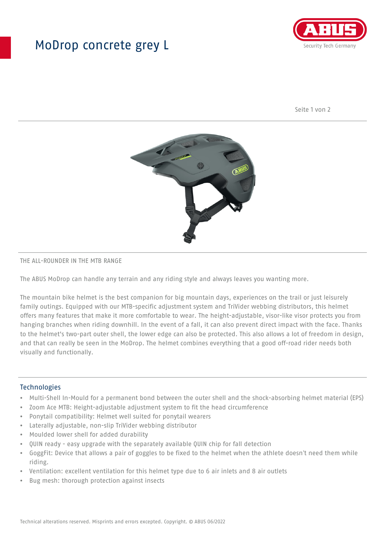## MoDrop concrete grey L



Seite 1 von 2



#### THE ALL-ROUNDER IN THE MTB RANGE

The ABUS MoDrop can handle any terrain and any riding style and always leaves you wanting more.

The mountain bike helmet is the best companion for big mountain days, experiences on the trail or just leisurely family outings. Equipped with our MTB-specific adjustment system and TriVider webbing distributors, this helmet offers many features that make it more comfortable to wear. The height-adjustable, visor-like visor protects you from hanging branches when riding downhill. In the event of a fall, it can also prevent direct impact with the face. Thanks to the helmet's two-part outer shell, the lower edge can also be protected. This also allows a lot of freedom in design, and that can really be seen in the MoDrop. The helmet combines everything that a good off-road rider needs both visually and functionally.

#### Technologies

- Multi-Shell In-Mould for a permanent bond between the outer shell and the shock-absorbing helmet material (EPS)
- Zoom Ace MTB: Height-adjustable adjustment system to fit the head circumference
- Ponytail compatibility: Helmet well suited for ponytail wearers
- Laterally adjustable, non-slip TriVider webbing distributor
- Moulded lower shell for added durability
- QUIN ready easy upgrade with the separately available QUIN chip for fall detection
- GoggFit: Device that allows a pair of goggles to be fixed to the helmet when the athlete doesn't need them while riding.
- Ventilation: excellent ventilation for this helmet type due to 6 air inlets and 8 air outlets
- Bug mesh: thorough protection against insects